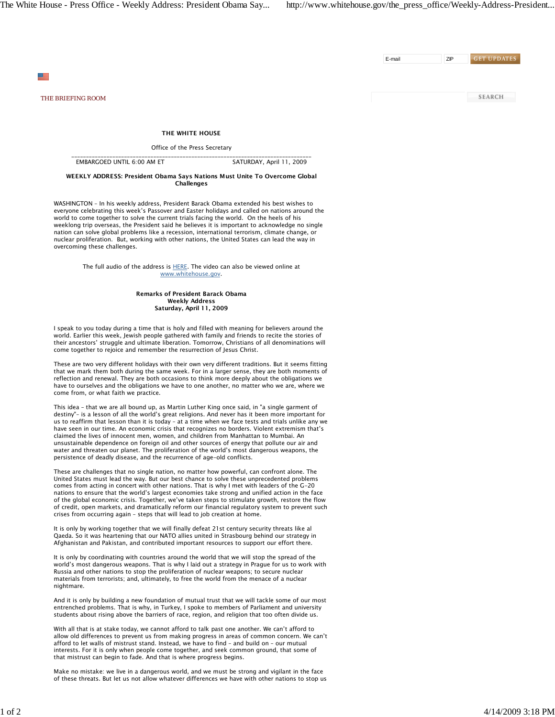E-mail ZIP

**GET UPDATES** 

**SEARCH** 

 $\equiv$ 

*THE BRIEFING ROOM*

THE WHITE HOUSE

Office of the Press Secretary

\_\_\_\_\_\_\_\_\_\_\_\_\_\_\_\_\_\_\_\_\_\_\_\_\_\_\_\_\_\_\_\_\_\_\_\_\_\_\_\_\_\_\_\_\_\_\_\_\_\_\_\_\_\_\_\_\_\_\_\_\_\_\_\_\_\_\_\_\_\_\_\_\_\_\_\_\_\_\_\_\_\_ EMBARGOED UNTIL 6:00 AM ET SATURDAY, April 11, 2009

WEEKLY ADDRESS: President Obama Says Nations Must Unite To Overcome Global Challenges

WASHINGTON – In his weekly address, President Barack Obama extended his best wishes to everyone celebrating this week's Passover and Easter holidays and called on nations around the world to come together to solve the current trials facing the world. On the heels of his weeklong trip overseas, the President said he believes it is important to acknowledge no single nation can solve global problems like a recession, international terrorism, climate change, or nuclear proliferation. But, working with other nations, the United States can lead the way in overcoming these challenges.

> The full audio of the address is HERE. The video can also be viewed online at www.whitehouse.gov.

> > Remarks of President Barack Obama Weekly Address Saturday, April 11, 2009

I speak to you today during a time that is holy and filled with meaning for believers around the world. Earlier this week, Jewish people gathered with family and friends to recite the stories of their ancestors' struggle and ultimate liberation. Tomorrow, Christians of all denominations will come together to rejoice and remember the resurrection of Jesus Christ.

These are two very different holidays with their own very different traditions. But it seems fitting that we mark them both during the same week. For in a larger sense, they are both moments of reflection and renewal. They are both occasions to think more deeply about the obligations we have to ourselves and the obligations we have to one another, no matter who we are, where we come from, or what faith we practice.

This idea – that we are all bound up, as Martin Luther King once said, in "a single garment of destiny"– is a lesson of all the world's great religions. And never has it been more important for us to reaffirm that lesson than it is today – at a time when we face tests and trials unlike any we have seen in our time. An economic crisis that recognizes no borders. Violent extremism that's claimed the lives of innocent men, women, and children from Manhattan to Mumbai. An unsustainable dependence on foreign oil and other sources of energy that pollute our air and water and threaten our planet. The proliferation of the world's most dangerous weapons, the persistence of deadly disease, and the recurrence of age-old conflicts.

These are challenges that no single nation, no matter how powerful, can confront alone. The United States must lead the way. But our best chance to solve these unprecedented problems comes from acting in concert with other nations. That is why I met with leaders of the G-20 nations to ensure that the world's largest economies take strong and unified action in the face of the global economic crisis. Together, we've taken steps to stimulate growth, restore the flow of credit, open markets, and dramatically reform our financial regulatory system to prevent such crises from occurring again – steps that will lead to job creation at home.

It is only by working together that we will finally defeat 21st century security threats like al Qaeda. So it was heartening that our NATO allies united in Strasbourg behind our strategy in Afghanistan and Pakistan, and contributed important resources to support our effort there.

It is only by coordinating with countries around the world that we will stop the spread of the world's most dangerous weapons. That is why I laid out a strategy in Prague for us to work with Russia and other nations to stop the proliferation of nuclear weapons; to secure nuclear materials from terrorists; and, ultimately, to free the world from the menace of a nuclear nightmare.

And it is only by building a new foundation of mutual trust that we will tackle some of our most entrenched problems. That is why, in Turkey, I spoke to members of Parliament and university students about rising above the barriers of race, region, and religion that too often divide us.

With all that is at stake today, we cannot afford to talk past one another. We can't afford to allow old differences to prevent us from making progress in areas of common concern. We can't afford to let walls of mistrust stand. Instead, we have to find – and build on – our mutual interests. For it is only when people come together, and seek common ground, that some of that mistrust can begin to fade. And that is where progress begins.

Make no mistake: we live in a dangerous world, and we must be strong and vigilant in the face of these threats. But let us not allow whatever differences we have with other nations to stop us